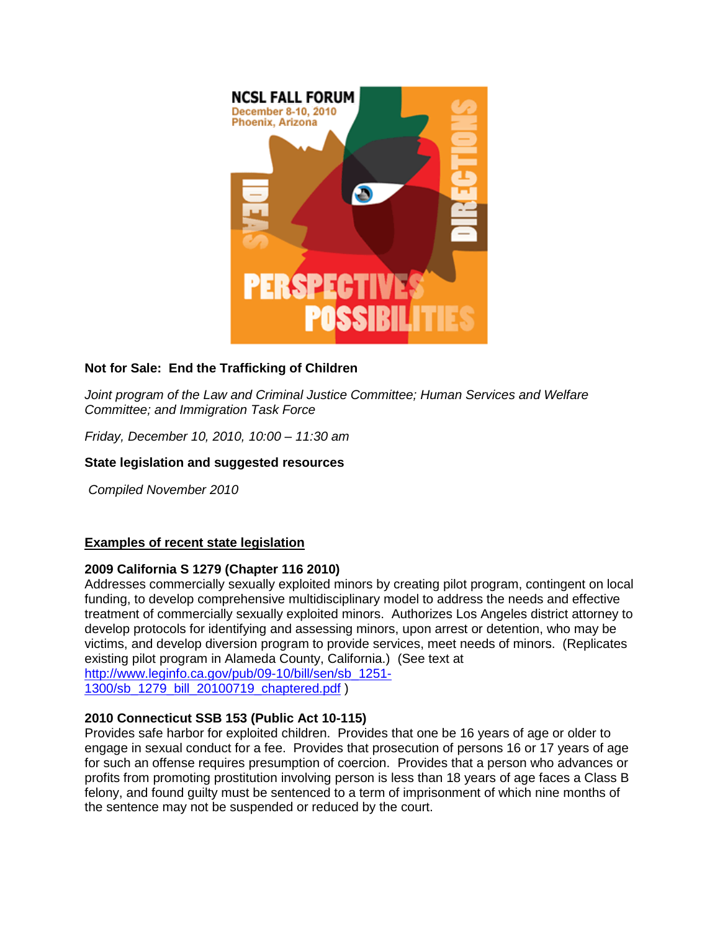

# **Not for Sale: End the Trafficking of Children**

*Joint program of the Law and Criminal Justice Committee; Human Services and Welfare Committee; and Immigration Task Force*

*Friday, December 10, 2010, 10:00 – 11:30 am*

## **State legislation and suggested resources**

*Compiled November 2010*

## **Examples of recent state legislation**

## **2009 California S 1279 (Chapter 116 2010)**

Addresses commercially sexually exploited minors by creating pilot program, contingent on local funding, to develop comprehensive multidisciplinary model to address the needs and effective treatment of commercially sexually exploited minors. Authorizes Los Angeles district attorney to develop protocols for identifying and assessing minors, upon arrest or detention, who may be victims, and develop diversion program to provide services, meet needs of minors. (Replicates existing pilot program in Alameda County, California.) (See text at [http://www.leginfo.ca.gov/pub/09-10/bill/sen/sb\\_1251-](http://www.leginfo.ca.gov/pub/09-10/bill/sen/sb_1251-1300/sb_1279_bill_20100719_chaptered.pdf) [1300/sb\\_1279\\_bill\\_20100719\\_chaptered.pdf](http://www.leginfo.ca.gov/pub/09-10/bill/sen/sb_1251-1300/sb_1279_bill_20100719_chaptered.pdf) )

## **2010 Connecticut SSB 153 (Public Act 10-115)**

Provides safe harbor for exploited children. Provides that one be 16 years of age or older to engage in sexual conduct for a fee. Provides that prosecution of persons 16 or 17 years of age for such an offense requires presumption of coercion. Provides that a person who advances or profits from promoting prostitution involving person is less than 18 years of age faces a Class B felony, and found guilty must be sentenced to a term of imprisonment of which nine months of the sentence may not be suspended or reduced by the court.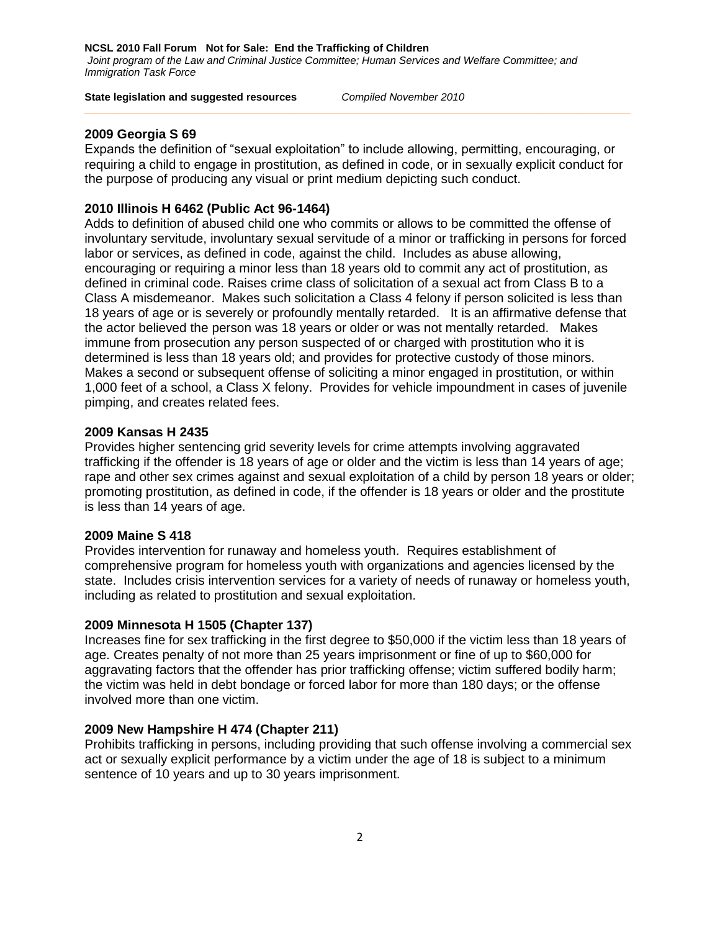#### **State legislation and suggested resources** *Compiled November 2010*

## **2009 Georgia S 69**

Expands the definition of "sexual exploitation" to include allowing, permitting, encouraging, or requiring a child to engage in prostitution, as defined in code, or in sexually explicit conduct for the purpose of producing any visual or print medium depicting such conduct.

## **2010 Illinois H 6462 (Public Act 96-1464)**

Adds to definition of abused child one who commits or allows to be committed the offense of involuntary servitude, involuntary sexual servitude of a minor or trafficking in persons for forced labor or services, as defined in code, against the child. Includes as abuse allowing, encouraging or requiring a minor less than 18 years old to commit any act of prostitution, as defined in criminal code. Raises crime class of solicitation of a sexual act from Class B to a Class A misdemeanor. Makes such solicitation a Class 4 felony if person solicited is less than 18 years of age or is severely or profoundly mentally retarded. It is an affirmative defense that the actor believed the person was 18 years or older or was not mentally retarded. Makes immune from prosecution any person suspected of or charged with prostitution who it is determined is less than 18 years old; and provides for protective custody of those minors. Makes a second or subsequent offense of soliciting a minor engaged in prostitution, or within 1,000 feet of a school, a Class X felony. Provides for vehicle impoundment in cases of juvenile pimping, and creates related fees.

### **2009 Kansas H 2435**

Provides higher sentencing grid severity levels for crime attempts involving aggravated trafficking if the offender is 18 years of age or older and the victim is less than 14 years of age; rape and other sex crimes against and sexual exploitation of a child by person 18 years or older; promoting prostitution, as defined in code, if the offender is 18 years or older and the prostitute is less than 14 years of age.

#### **2009 Maine S 418**

Provides intervention for runaway and homeless youth. Requires establishment of comprehensive program for homeless youth with organizations and agencies licensed by the state. Includes crisis intervention services for a variety of needs of runaway or homeless youth, including as related to prostitution and sexual exploitation.

## **2009 Minnesota H 1505 (Chapter 137)**

Increases fine for sex trafficking in the first degree to \$50,000 if the victim less than 18 years of age. Creates penalty of not more than 25 years imprisonment or fine of up to \$60,000 for aggravating factors that the offender has prior trafficking offense; victim suffered bodily harm; the victim was held in debt bondage or forced labor for more than 180 days; or the offense involved more than one victim.

#### **2009 New Hampshire H 474 (Chapter 211)**

Prohibits trafficking in persons, including providing that such offense involving a commercial sex act or sexually explicit performance by a victim under the age of 18 is subject to a minimum sentence of 10 years and up to 30 years imprisonment.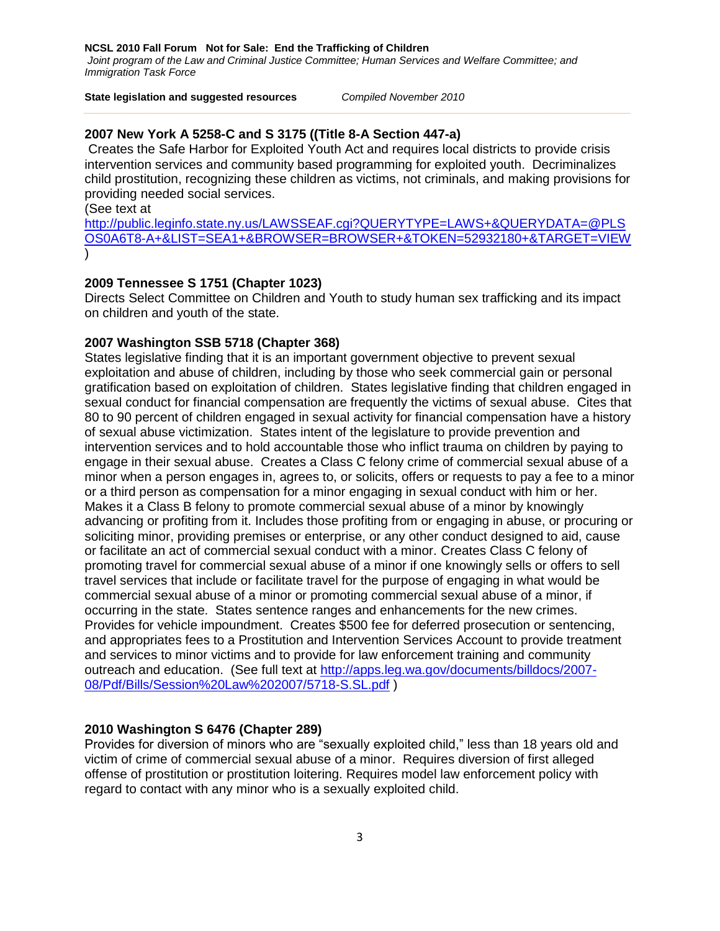**NCSL 2010 Fall Forum Not for Sale: End the Trafficking of Children**  *Joint program of the Law and Criminal Justice Committee; Human Services and Welfare Committee; and Immigration Task Force*

#### **State legislation and suggested resources** *Compiled November 2010*

## **2007 New York A 5258-C and S 3175 ((Title 8-A Section 447-a)**

Creates the Safe Harbor for Exploited Youth Act and requires local districts to provide crisis intervention services and community based programming for exploited youth. Decriminalizes child prostitution, recognizing these children as victims, not criminals, and making provisions for providing needed social services.

(See text at

[http://public.leginfo.state.ny.us/LAWSSEAF.cgi?QUERYTYPE=LAWS+&QUERYDATA=@PLS](http://public.leginfo.state.ny.us/LAWSSEAF.cgi?QUERYTYPE=LAWS+&QUERYDATA=@PLSOS0A6T8-A+&LIST=SEA1+&BROWSER=BROWSER+&TOKEN=52932180+&TARGET=VIEW) [OS0A6T8-A+&LIST=SEA1+&BROWSER=BROWSER+&TOKEN=52932180+&TARGET=VIEW](http://public.leginfo.state.ny.us/LAWSSEAF.cgi?QUERYTYPE=LAWS+&QUERYDATA=@PLSOS0A6T8-A+&LIST=SEA1+&BROWSER=BROWSER+&TOKEN=52932180+&TARGET=VIEW) )

#### **2009 Tennessee S 1751 (Chapter 1023)**

Directs Select Committee on Children and Youth to study human sex trafficking and its impact on children and youth of the state.

### **2007 Washington SSB 5718 (Chapter 368)**

States legislative finding that it is an important government objective to prevent sexual exploitation and abuse of children, including by those who seek commercial gain or personal gratification based on exploitation of children. States legislative finding that children engaged in sexual conduct for financial compensation are frequently the victims of sexual abuse. Cites that 80 to 90 percent of children engaged in sexual activity for financial compensation have a history of sexual abuse victimization. States intent of the legislature to provide prevention and intervention services and to hold accountable those who inflict trauma on children by paying to engage in their sexual abuse. Creates a Class C felony crime of commercial sexual abuse of a minor when a person engages in, agrees to, or solicits, offers or requests to pay a fee to a minor or a third person as compensation for a minor engaging in sexual conduct with him or her. Makes it a Class B felony to promote commercial sexual abuse of a minor by knowingly advancing or profiting from it. Includes those profiting from or engaging in abuse, or procuring or soliciting minor, providing premises or enterprise, or any other conduct designed to aid, cause or facilitate an act of commercial sexual conduct with a minor. Creates Class C felony of promoting travel for commercial sexual abuse of a minor if one knowingly sells or offers to sell travel services that include or facilitate travel for the purpose of engaging in what would be commercial sexual abuse of a minor or promoting commercial sexual abuse of a minor, if occurring in the state. States sentence ranges and enhancements for the new crimes. Provides for vehicle impoundment. Creates \$500 fee for deferred prosecution or sentencing, and appropriates fees to a Prostitution and Intervention Services Account to provide treatment and services to minor victims and to provide for law enforcement training and community outreach and education. (See full text at [http://apps.leg.wa.gov/documents/billdocs/2007-](http://apps.leg.wa.gov/documents/billdocs/2007-08/Pdf/Bills/Session%20Law%202007/5718-S.SL.pdf) [08/Pdf/Bills/Session%20Law%202007/5718-S.SL.pdf](http://apps.leg.wa.gov/documents/billdocs/2007-08/Pdf/Bills/Session%20Law%202007/5718-S.SL.pdf) )

#### **2010 Washington S 6476 (Chapter 289)**

Provides for diversion of minors who are "sexually exploited child," less than 18 years old and victim of crime of commercial sexual abuse of a minor. Requires diversion of first alleged offense of prostitution or prostitution loitering. Requires model law enforcement policy with regard to contact with any minor who is a sexually exploited child.